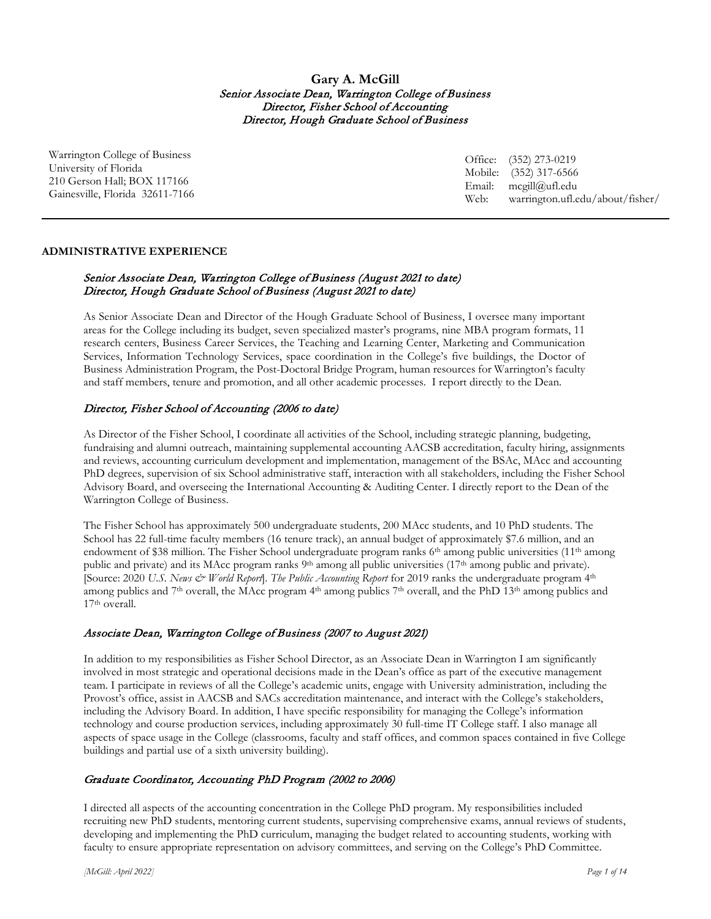**Gary A. McGill** Senior Associate Dean, Warrington College of Business Director, Fisher School of Accounting Director, Hough Graduate School of Business

Warrington College of Business University of Florida 210 Gerson Hall; BOX 117166 Gainesville, Florida 32611-7166

Office: (352) 273-0219 Mobile: (352) 317-6566 Email: mcgill@ufl.edu Web: warrington.ufl.edu/about/fisher/

## **ADMINISTRATIVE EXPERIENCE**

# Senior Associate Dean, Warrington College of Business (August 2021 to date) Director, Hough Graduate School of Business (August 2021 to date)

As Senior Associate Dean and Director of the Hough Graduate School of Business, I oversee many important areas for the College including its budget, seven specialized master's programs, nine MBA program formats, 11 research centers, Business Career Services, the Teaching and Learning Center, Marketing and Communication Services, Information Technology Services, space coordination in the College's five buildings, the Doctor of Business Administration Program, the Post-Doctoral Bridge Program, human resources for Warrington's faculty and staff members, tenure and promotion, and all other academic processes. I report directly to the Dean.

# Director, Fisher School of Accounting (2006 to date)

As Director of the Fisher School, I coordinate all activities of the School, including strategic planning, budgeting, fundraising and alumni outreach, maintaining supplemental accounting AACSB accreditation, faculty hiring, assignments and reviews, accounting curriculum development and implementation, management of the BSAc, MAcc and accounting PhD degrees, supervision of six School administrative staff, interaction with all stakeholders, including the Fisher School Advisory Board, and overseeing the International Accounting & Auditing Center. I directly report to the Dean of the Warrington College of Business.

The Fisher School has approximately 500 undergraduate students, 200 MAcc students, and 10 PhD students. The School has 22 full-time faculty members (16 tenure track), an annual budget of approximately \$7.6 million, and an endowment of \$38 million. The Fisher School undergraduate program ranks  $6<sup>th</sup>$  among public universities (11<sup>th</sup> among public and private) and its MAcc program ranks 9<sup>th</sup> among all public universities (17<sup>th</sup> among public and private). [Source: 2020 *U.S. News & World Report*]. *The Public Accounting Report* for 2019 ranks the undergraduate program 4th among publics and 7<sup>th</sup> overall, the MAcc program 4<sup>th</sup> among publics 7<sup>th</sup> overall, and the PhD 13<sup>th</sup> among publics and 17th overall.

## Associate Dean, Warrington College of Business (2007 to August 2021)

In addition to my responsibilities as Fisher School Director, as an Associate Dean in Warrington I am significantly involved in most strategic and operational decisions made in the Dean's office as part of the executive management team. I participate in reviews of all the College's academic units, engage with University administration, including the Provost's office, assist in AACSB and SACs accreditation maintenance, and interact with the College's stakeholders, including the Advisory Board. In addition, I have specific responsibility for managing the College's information technology and course production services, including approximately 30 full-time IT College staff. I also manage all aspects of space usage in the College (classrooms, faculty and staff offices, and common spaces contained in five College buildings and partial use of a sixth university building).

# Graduate Coordinator, Accounting PhD Program (2002 to 2006)

I directed all aspects of the accounting concentration in the College PhD program. My responsibilities included recruiting new PhD students, mentoring current students, supervising comprehensive exams, annual reviews of students, developing and implementing the PhD curriculum, managing the budget related to accounting students, working with faculty to ensure appropriate representation on advisory committees, and serving on the College's PhD Committee.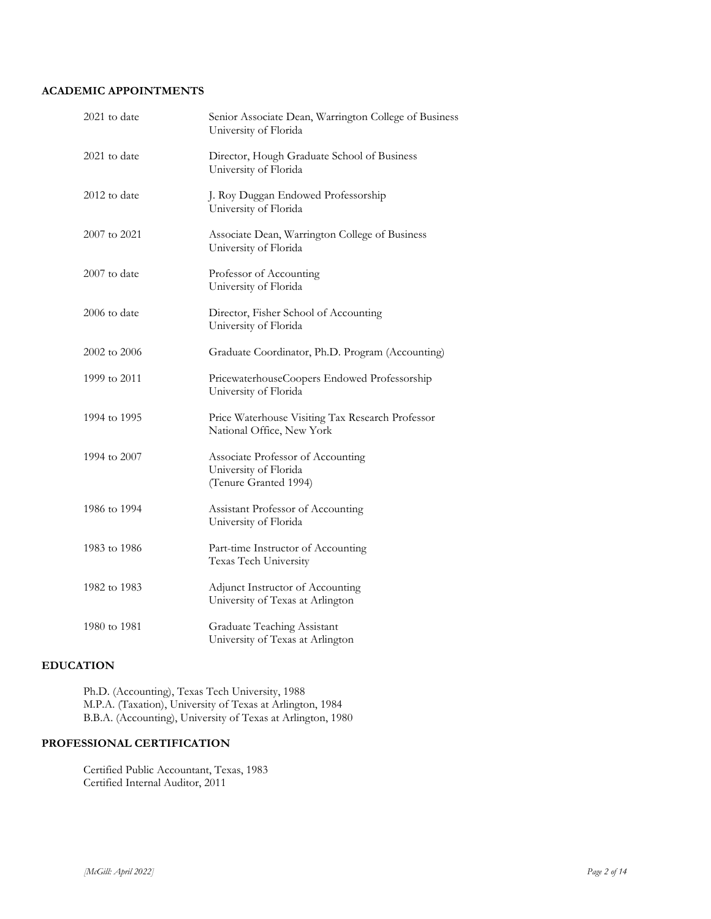# **ACADEMIC APPOINTMENTS**

| 2021 to date   | Senior Associate Dean, Warrington College of Business<br>University of Florida      |
|----------------|-------------------------------------------------------------------------------------|
| $2021$ to date | Director, Hough Graduate School of Business<br>University of Florida                |
| 2012 to date   | J. Roy Duggan Endowed Professorship<br>University of Florida                        |
| 2007 to 2021   | Associate Dean, Warrington College of Business<br>University of Florida             |
| $2007$ to date | Professor of Accounting<br>University of Florida                                    |
| 2006 to date   | Director, Fisher School of Accounting<br>University of Florida                      |
| 2002 to 2006   | Graduate Coordinator, Ph.D. Program (Accounting)                                    |
| 1999 to 2011   | PricewaterhouseCoopers Endowed Professorship<br>University of Florida               |
| 1994 to 1995   | Price Waterhouse Visiting Tax Research Professor<br>National Office, New York       |
| 1994 to 2007   | Associate Professor of Accounting<br>University of Florida<br>(Tenure Granted 1994) |
| 1986 to 1994   | Assistant Professor of Accounting<br>University of Florida                          |
| 1983 to 1986   | Part-time Instructor of Accounting<br>Texas Tech University                         |
| 1982 to 1983   | Adjunct Instructor of Accounting<br>University of Texas at Arlington                |
| 1980 to 1981   | Graduate Teaching Assistant<br>University of Texas at Arlington                     |

# **EDUCATION**

Ph.D. (Accounting), Texas Tech University, 1988 M.P.A. (Taxation), University of Texas at Arlington, 1984 B.B.A. (Accounting), University of Texas at Arlington, 1980

# **PROFESSIONAL CERTIFICATION**

Certified Public Accountant, Texas, 1983 Certified Internal Auditor, 2011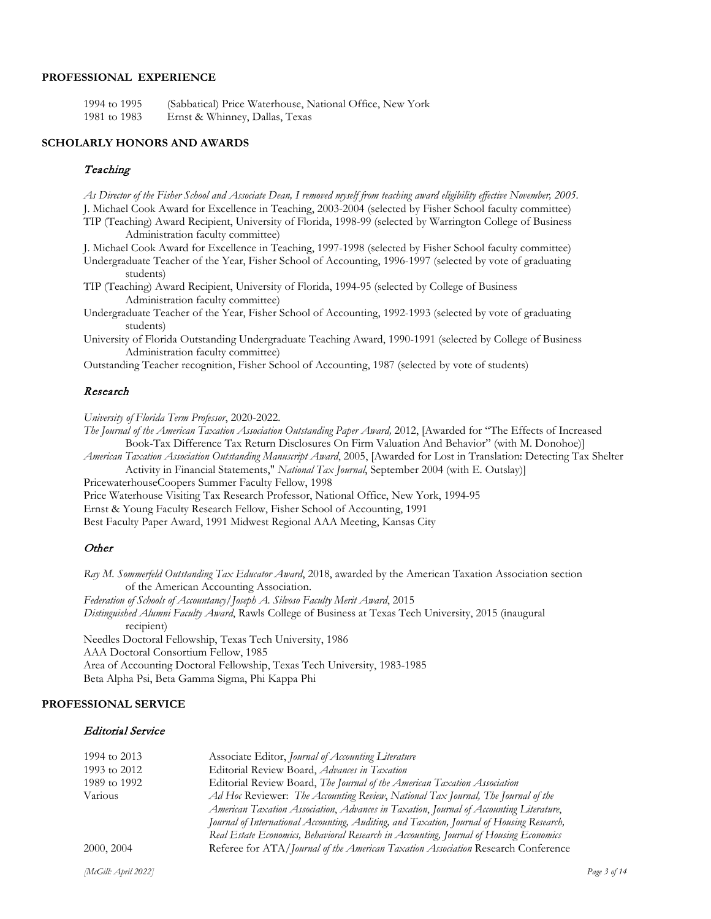## **PROFESSIONAL EXPERIENCE**

1994 to 1995 (Sabbatical) Price Waterhouse, National Office, New York 1981 to 1983 Ernst & Whinney, Dallas, Texas

#### **SCHOLARLY HONORS AND AWARDS**

#### **Teaching**

*As Director of the Fisher School and Associate Dean, I removed myself from teaching award eligibility effective November, 2005.* J. Michael Cook Award for Excellence in Teaching, 2003-2004 (selected by Fisher School faculty committee) TIP (Teaching) Award Recipient, University of Florida, 1998-99 (selected by Warrington College of Business Administration faculty committee)

J. Michael Cook Award for Excellence in Teaching, 1997-1998 (selected by Fisher School faculty committee)

Undergraduate Teacher of the Year, Fisher School of Accounting, 1996-1997 (selected by vote of graduating students)

TIP (Teaching) Award Recipient, University of Florida, 1994-95 (selected by College of Business Administration faculty committee)

Undergraduate Teacher of the Year, Fisher School of Accounting, 1992-1993 (selected by vote of graduating students)

University of Florida Outstanding Undergraduate Teaching Award, 1990-1991 (selected by College of Business Administration faculty committee)

Outstanding Teacher recognition, Fisher School of Accounting, 1987 (selected by vote of students)

#### Research

*University of Florida Term Professor*, 2020-2022.

*The Journal of the American Taxation Association Outstanding Paper Award,* 2012, [Awarded for "The Effects of Increased Book-Tax Difference Tax Return Disclosures On Firm Valuation And Behavior" (with M. Donohoe)]

*American Taxation Association Outstanding Manuscript Award*, 2005, [Awarded for Lost in Translation: Detecting Tax Shelter Activity in Financial Statements," *National Tax Journal*, September 2004 (with E. Outslay)]

PricewaterhouseCoopers Summer Faculty Fellow, 1998

Price Waterhouse Visiting Tax Research Professor, National Office, New York, 1994-95

Ernst & Young Faculty Research Fellow, Fisher School of Accounting, 1991

Best Faculty Paper Award, 1991 Midwest Regional AAA Meeting, Kansas City

#### **Other**

*Ray M. Sommerfeld Outstanding Tax Educator Award*, 2018, awarded by the American Taxation Association section of the American Accounting Association. *Federation of Schools of Accountancy/Joseph A. Silvoso Faculty Merit Award*, 2015 *Distinguished Alumni Faculty Award*, Rawls College of Business at Texas Tech University, 2015 (inaugural recipient) Needles Doctoral Fellowship, Texas Tech University, 1986 AAA Doctoral Consortium Fellow, 1985 Area of Accounting Doctoral Fellowship, Texas Tech University, 1983-1985 Beta Alpha Psi, Beta Gamma Sigma, Phi Kappa Phi

#### **PROFESSIONAL SERVICE**

#### Editorial Service

| 1994 to 2013 | Associate Editor, Journal of Accounting Literature                                        |
|--------------|-------------------------------------------------------------------------------------------|
| 1993 to 2012 | Editorial Review Board, Advances in Taxation                                              |
| 1989 to 1992 | Editorial Review Board, The Journal of the American Taxation Association                  |
| Various      | Ad Hoc Reviewer: The Accounting Review, National Tax Journal, The Journal of the          |
|              | American Taxation Association, Advances in Taxation, Journal of Accounting Literature,    |
|              | Journal of International Accounting, Auditing, and Taxation, Journal of Housing Research, |
|              | Real Estate Economics, Behavioral Research in Accounting, Journal of Housing Economics    |
| 2000, 2004   | Referee for ATA/Journal of the American Taxation Association Research Conference          |
|              |                                                                                           |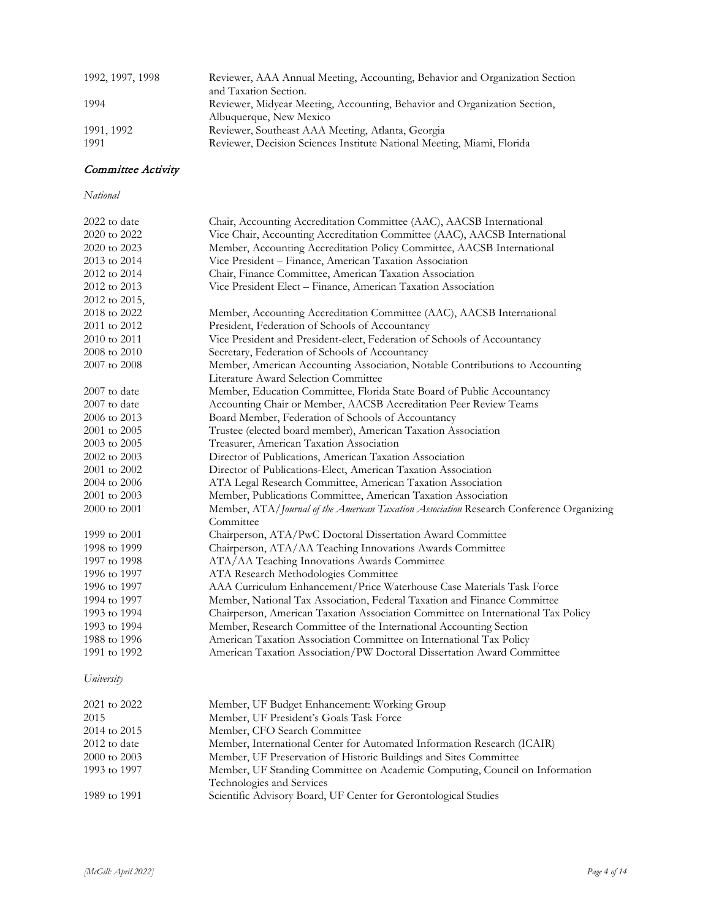| 1992, 1997, 1998   | Reviewer, AAA Annual Meeting, Accounting, Behavior and Organization Section<br>and Taxation Section.                        |
|--------------------|-----------------------------------------------------------------------------------------------------------------------------|
| 1994               | Reviewer, Midyear Meeting, Accounting, Behavior and Organization Section,<br>Albuquerque, New Mexico                        |
| 1991, 1992<br>1991 | Reviewer, Southeast AAA Meeting, Atlanta, Georgia<br>Reviewer, Decision Sciences Institute National Meeting, Miami, Florida |

# Committee Activity

## *National*

| 2022 to date  | Chair, Accounting Accreditation Committee (AAC), AACSB International                    |
|---------------|-----------------------------------------------------------------------------------------|
| 2020 to 2022  | Vice Chair, Accounting Accreditation Committee (AAC), AACSB International               |
| 2020 to 2023  | Member, Accounting Accreditation Policy Committee, AACSB International                  |
| 2013 to 2014  | Vice President - Finance, American Taxation Association                                 |
| 2012 to 2014  | Chair, Finance Committee, American Taxation Association                                 |
| 2012 to 2013  | Vice President Elect - Finance, American Taxation Association                           |
| 2012 to 2015, |                                                                                         |
| 2018 to 2022  | Member, Accounting Accreditation Committee (AAC), AACSB International                   |
| 2011 to 2012  | President, Federation of Schools of Accountancy                                         |
| 2010 to 2011  | Vice President and President-elect, Federation of Schools of Accountancy                |
| 2008 to 2010  | Secretary, Federation of Schools of Accountancy                                         |
| 2007 to 2008  | Member, American Accounting Association, Notable Contributions to Accounting            |
|               | Literature Award Selection Committee                                                    |
| 2007 to date  | Member, Education Committee, Florida State Board of Public Accountancy                  |
| 2007 to date  | Accounting Chair or Member, AACSB Accreditation Peer Review Teams                       |
| 2006 to 2013  | Board Member, Federation of Schools of Accountancy                                      |
| 2001 to 2005  | Trustee (elected board member), American Taxation Association                           |
| 2003 to 2005  | Treasurer, American Taxation Association                                                |
| 2002 to 2003  | Director of Publications, American Taxation Association                                 |
| 2001 to 2002  | Director of Publications-Elect, American Taxation Association                           |
| 2004 to 2006  | ATA Legal Research Committee, American Taxation Association                             |
| 2001 to 2003  | Member, Publications Committee, American Taxation Association                           |
| 2000 to 2001  | Member, ATA/Journal of the American Taxation Association Research Conference Organizing |
|               | Committee                                                                               |
| 1999 to 2001  | Chairperson, ATA/PwC Doctoral Dissertation Award Committee                              |
| 1998 to 1999  | Chairperson, ATA/AA Teaching Innovations Awards Committee                               |
| 1997 to 1998  | ATA/AA Teaching Innovations Awards Committee                                            |
| 1996 to 1997  | ATA Research Methodologies Committee                                                    |
| 1996 to 1997  | AAA Curriculum Enhancement/Price Waterhouse Case Materials Task Force                   |
| 1994 to 1997  | Member, National Tax Association, Federal Taxation and Finance Committee                |
| 1993 to 1994  | Chairperson, American Taxation Association Committee on International Tax Policy        |
| 1993 to 1994  | Member, Research Committee of the International Accounting Section                      |
| 1988 to 1996  | American Taxation Association Committee on International Tax Policy                     |
| 1991 to 1992  | American Taxation Association/PW Doctoral Dissertation Award Committee                  |
| University    |                                                                                         |
| 2021 to 2022  | Member, UF Budget Enhancement: Working Group                                            |
| 2015          | Member, UF President's Goals Task Force                                                 |

| 20 I J       | INTELLIDEL, UT I LESIGEILL'S CIUTAIS L'ASK L'ULCE                           |
|--------------|-----------------------------------------------------------------------------|
| 2014 to 2015 | Member, CFO Search Committee                                                |
| 2012 to date | Member, International Center for Automated Information Research (ICAIR)     |
| 2000 to 2003 | Member, UF Preservation of Historic Buildings and Sites Committee           |
| 1993 to 1997 | Member, UF Standing Committee on Academic Computing, Council on Information |
|              | Technologies and Services                                                   |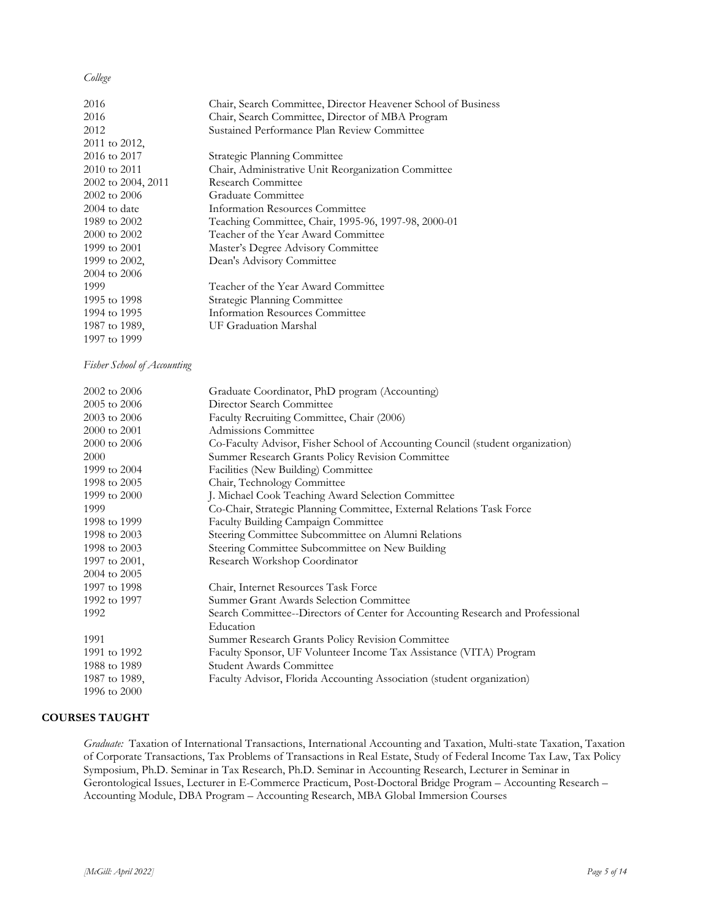## *College*

| 2016               | Chair, Search Committee, Director Heavener School of Business |
|--------------------|---------------------------------------------------------------|
| 2016               | Chair, Search Committee, Director of MBA Program              |
| 2012               | Sustained Performance Plan Review Committee                   |
| 2011 to 2012,      |                                                               |
| 2016 to 2017       | Strategic Planning Committee                                  |
| 2010 to 2011       | Chair, Administrative Unit Reorganization Committee           |
| 2002 to 2004, 2011 | Research Committee                                            |
| 2002 to 2006       | Graduate Committee                                            |
| $2004$ to date     | Information Resources Committee                               |
| 1989 to 2002       | Teaching Committee, Chair, 1995-96, 1997-98, 2000-01          |
| 2000 to 2002       | Teacher of the Year Award Committee                           |
| 1999 to 2001       | Master's Degree Advisory Committee                            |
| 1999 to 2002.      | Dean's Advisory Committee                                     |
| 2004 to 2006       |                                                               |
| 1999               | Teacher of the Year Award Committee                           |
| 1995 to 1998       | Strategic Planning Committee                                  |
| 1994 to 1995       | Information Resources Committee                               |
| 1987 to 1989.      | UF Graduation Marshal                                         |
| 1997 to 1999       |                                                               |
|                    |                                                               |

*Fisher School of Accounting*

| 2002 to 2006  | Graduate Coordinator, PhD program (Accounting)                                 |
|---------------|--------------------------------------------------------------------------------|
| 2005 to 2006  | Director Search Committee                                                      |
| 2003 to 2006  | Faculty Recruiting Committee, Chair (2006)                                     |
| 2000 to 2001  | Admissions Committee                                                           |
| 2000 to 2006  | Co-Faculty Advisor, Fisher School of Accounting Council (student organization) |
| 2000          | Summer Research Grants Policy Revision Committee                               |
| 1999 to 2004  | Facilities (New Building) Committee                                            |
| 1998 to 2005  | Chair, Technology Committee                                                    |
| 1999 to 2000  | J. Michael Cook Teaching Award Selection Committee                             |
| 1999          | Co-Chair, Strategic Planning Committee, External Relations Task Force          |
| 1998 to 1999  | Faculty Building Campaign Committee                                            |
| 1998 to 2003  | Steering Committee Subcommittee on Alumni Relations                            |
| 1998 to 2003  | Steering Committee Subcommittee on New Building                                |
| 1997 to 2001, | Research Workshop Coordinator                                                  |
| 2004 to 2005  |                                                                                |
| 1997 to 1998  | Chair, Internet Resources Task Force                                           |
| 1992 to 1997  | Summer Grant Awards Selection Committee                                        |
| 1992          | Search Committee--Directors of Center for Accounting Research and Professional |
|               | Education                                                                      |
| 1991          | Summer Research Grants Policy Revision Committee                               |
| 1991 to 1992  | Faculty Sponsor, UF Volunteer Income Tax Assistance (VITA) Program             |
| 1988 to 1989  | Student Awards Committee                                                       |
| 1987 to 1989, | Faculty Advisor, Florida Accounting Association (student organization)         |
| 1996 to 2000  |                                                                                |

### **COURSES TAUGHT**

*Graduate:* Taxation of International Transactions, International Accounting and Taxation, Multi-state Taxation, Taxation of Corporate Transactions, Tax Problems of Transactions in Real Estate, Study of Federal Income Tax Law, Tax Policy Symposium, Ph.D. Seminar in Tax Research, Ph.D. Seminar in Accounting Research, Lecturer in Seminar in Gerontological Issues, Lecturer in E-Commerce Practicum, Post-Doctoral Bridge Program – Accounting Research – Accounting Module, DBA Program – Accounting Research, MBA Global Immersion Courses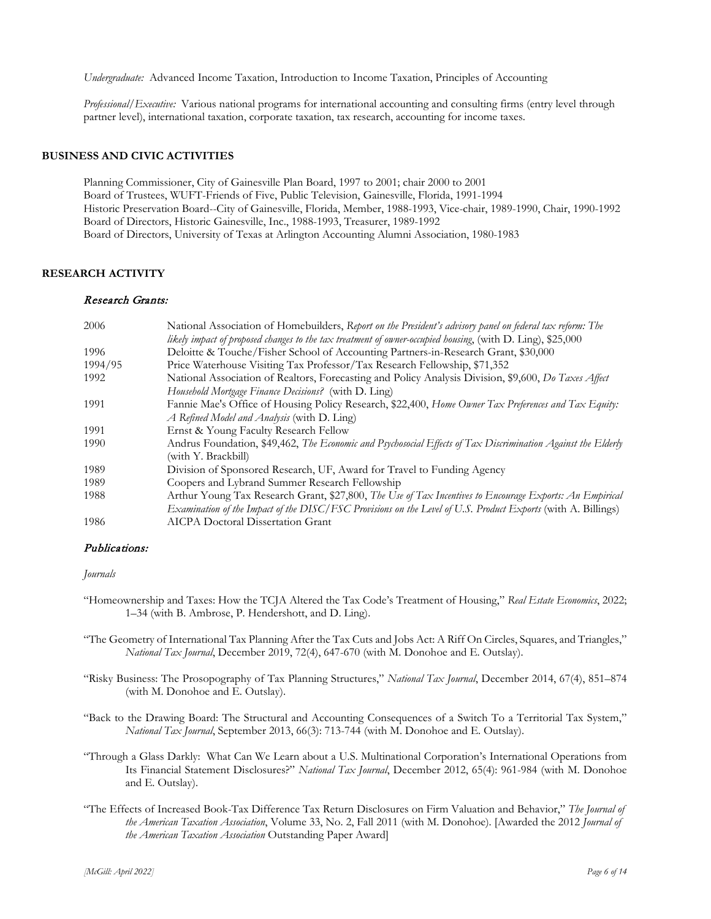*Undergraduate:* Advanced Income Taxation, Introduction to Income Taxation, Principles of Accounting

*Professional/Executive:* Various national programs for international accounting and consulting firms (entry level through partner level), international taxation, corporate taxation, tax research, accounting for income taxes.

#### **BUSINESS AND CIVIC ACTIVITIES**

Planning Commissioner, City of Gainesville Plan Board, 1997 to 2001; chair 2000 to 2001 Board of Trustees, WUFT-Friends of Five, Public Television, Gainesville, Florida, 1991-1994 Historic Preservation Board--City of Gainesville, Florida, Member, 1988-1993, Vice-chair, 1989-1990, Chair, 1990-1992 Board of Directors, Historic Gainesville, Inc., 1988-1993, Treasurer, 1989-1992 Board of Directors, University of Texas at Arlington Accounting Alumni Association, 1980-1983

# **RESEARCH ACTIVITY**

## Research Grants:

| 2006    | National Association of Homebuilders, Report on the President's advisory panel on federal tax reform: The    |
|---------|--------------------------------------------------------------------------------------------------------------|
|         | likely impact of proposed changes to the tax treatment of owner-occupied housing, (with D. Ling), \$25,000   |
| 1996    | Deloitte & Touche/Fisher School of Accounting Partners-in-Research Grant, \$30,000                           |
| 1994/95 | Price Waterhouse Visiting Tax Professor/Tax Research Fellowship, \$71,352                                    |
| 1992    | National Association of Realtors, Forecasting and Policy Analysis Division, \$9,600, Do Taxes Affect         |
|         | Household Mortgage Finance Decisions? (with D. Ling)                                                         |
| 1991    | Fannie Mae's Office of Housing Policy Research, \$22,400, Home Owner Tax Preferences and Tax Equity:         |
|         | A Refined Model and Analysis (with D. Ling)                                                                  |
| 1991    | Ernst & Young Faculty Research Fellow                                                                        |
| 1990    | Andrus Foundation, \$49,462, The Economic and Psychosocial Effects of Tax Discrimination Against the Elderly |
|         | (with Y. Brackbill)                                                                                          |
| 1989    | Division of Sponsored Research, UF, Award for Travel to Funding Agency                                       |
| 1989    | Coopers and Lybrand Summer Research Fellowship                                                               |
| 1988    | Arthur Young Tax Research Grant, \$27,800, The Use of Tax Incentives to Encourage Exports: An Empirical      |
|         | Examination of the Impact of the DISC/FSC Provisions on the Level of U.S. Product Exports (with A. Billings) |
| 1986    | <b>AICPA Doctoral Dissertation Grant</b>                                                                     |

#### Publications:

*Journals*

- "Homeownership and Taxes: How the TCJA Altered the Tax Code's Treatment of Housing," *Real Estate Economics*, 2022; 1–34 (with B. Ambrose, P. Hendershott, and D. Ling).
- "The Geometry of International Tax Planning After the Tax Cuts and Jobs Act: A Riff On Circles, Squares, and Triangles," *National Tax Journal*, December 2019, 72(4), 647-670 (with M. Donohoe and E. Outslay).
- "Risky Business: The Prosopography of Tax Planning Structures," *National Tax Journal*, December 2014, 67(4), 851–874 (with M. Donohoe and E. Outslay).
- "Back to the Drawing Board: The Structural and Accounting Consequences of a Switch To a Territorial Tax System," *National Tax Journal*, September 2013, 66(3): 713-744 (with M. Donohoe and E. Outslay).
- "Through a Glass Darkly: What Can We Learn about a U.S. Multinational Corporation's International Operations from Its Financial Statement Disclosures?" *National Tax Journal*, December 2012, 65(4): 961-984 (with M. Donohoe and E. Outslay).
- "The Effects of Increased Book-Tax Difference Tax Return Disclosures on Firm Valuation and Behavior," *The Journal of the American Taxation Association*, Volume 33, No. 2, Fall 2011 (with M. Donohoe). [Awarded the 2012 *Journal of the American Taxation Association* Outstanding Paper Award]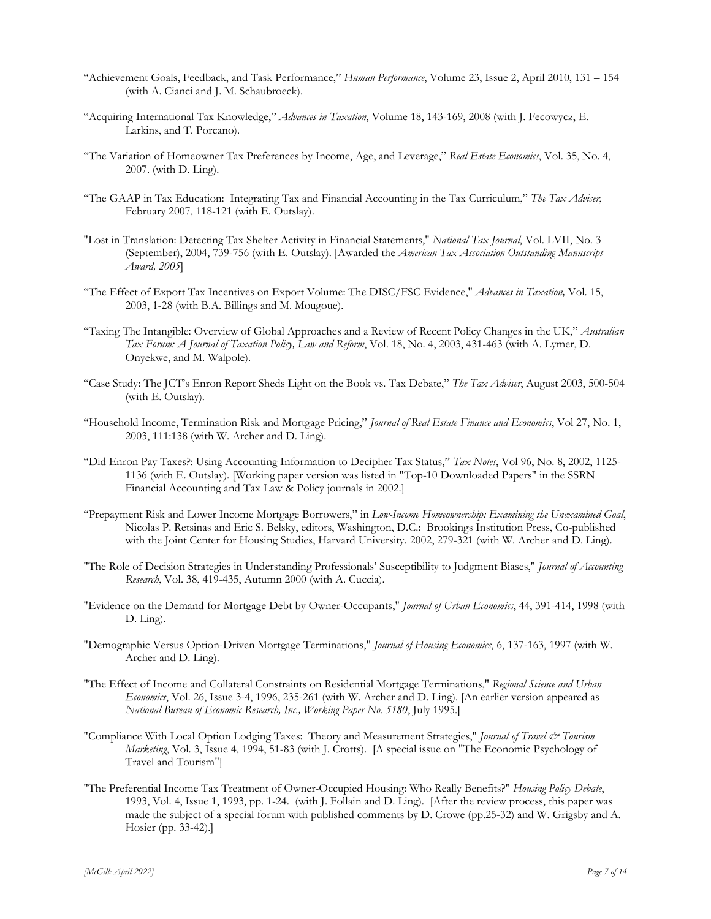- "Achievement Goals, Feedback, and Task Performance," *Human Performance*, Volume 23, Issue 2, April 2010, 131 154 (with A. Cianci and J. M. Schaubroeck).
- "Acquiring International Tax Knowledge," *Advances in Taxation*, Volume 18, 143-169, 2008 (with J. Fecowycz, E. Larkins, and T. Porcano).
- "The Variation of Homeowner Tax Preferences by Income, Age, and Leverage," *Real Estate Economics*, Vol. 35, No. 4, 2007. (with D. Ling).
- "The GAAP in Tax Education: Integrating Tax and Financial Accounting in the Tax Curriculum," *The Tax Adviser*, February 2007, 118-121 (with E. Outslay).
- "Lost in Translation: Detecting Tax Shelter Activity in Financial Statements," *National Tax Journal*, Vol. LVII, No. 3 (September), 2004, 739-756 (with E. Outslay). [Awarded the *American Tax Association Outstanding Manuscript Award, 2005*]
- "The Effect of Export Tax Incentives on Export Volume: The DISC/FSC Evidence," *Advances in Taxation,* Vol. 15, 2003, 1-28 (with B.A. Billings and M. Mougoue).
- "Taxing The Intangible: Overview of Global Approaches and a Review of Recent Policy Changes in the UK," *Australian Tax Forum: A Journal of Taxation Policy, Law and Reform*, Vol. 18, No. 4, 2003, 431-463 (with A. Lymer, D. Onyekwe, and M. Walpole).
- "Case Study: The JCT's Enron Report Sheds Light on the Book vs. Tax Debate," *The Tax Adviser*, August 2003, 500-504 (with E. Outslay).
- "Household Income, Termination Risk and Mortgage Pricing," *Journal of Real Estate Finance and Economics*, Vol 27, No. 1, 2003, 111:138 (with W. Archer and D. Ling).
- "Did Enron Pay Taxes?: Using Accounting Information to Decipher Tax Status," *Tax Notes*, Vol 96, No. 8, 2002, 1125- 1136 (with E. Outslay). [Working paper version was listed in "Top-10 Downloaded Papers" in the SSRN Financial Accounting and Tax Law & Policy journals in 2002.]
- "Prepayment Risk and Lower Income Mortgage Borrowers," in *Low-Income Homeownership: Examining the Unexamined Goal*, Nicolas P. Retsinas and Eric S. Belsky, editors, Washington, D.C.: Brookings Institution Press, Co-published with the Joint Center for Housing Studies, Harvard University. 2002, 279-321 (with W. Archer and D. Ling).
- "The Role of Decision Strategies in Understanding Professionals' Susceptibility to Judgment Biases," *Journal of Accounting Research*, Vol. 38, 419-435, Autumn 2000 (with A. Cuccia).
- "Evidence on the Demand for Mortgage Debt by Owner-Occupants," *Journal of Urban Economics*, 44, 391-414, 1998 (with D. Ling).
- "Demographic Versus Option-Driven Mortgage Terminations," *Journal of Housing Economics*, 6, 137-163, 1997 (with W. Archer and D. Ling).
- "The Effect of Income and Collateral Constraints on Residential Mortgage Terminations," *Regional Science and Urban Economics*, Vol. 26, Issue 3-4, 1996, 235-261 (with W. Archer and D. Ling). [An earlier version appeared as *National Bureau of Economic Research, Inc., Working Paper No. 5180*, July 1995.]
- "Compliance With Local Option Lodging Taxes: Theory and Measurement Strategies," *Journal of Travel & Tourism Marketing*, Vol. 3, Issue 4, 1994, 51-83 (with J. Crotts). [A special issue on "The Economic Psychology of Travel and Tourism"]
- "The Preferential Income Tax Treatment of Owner-Occupied Housing: Who Really Benefits?" *Housing Policy Debate*, 1993, Vol. 4, Issue 1, 1993, pp. 1-24. (with J. Follain and D. Ling). [After the review process, this paper was made the subject of a special forum with published comments by D. Crowe (pp.25-32) and W. Grigsby and A. Hosier (pp. 33-42).]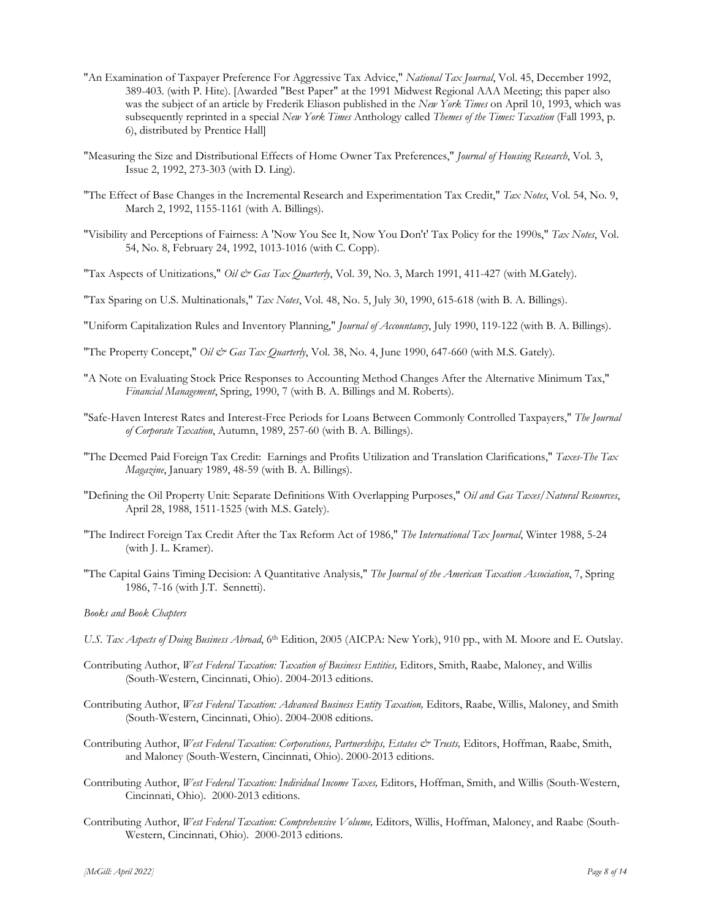- "An Examination of Taxpayer Preference For Aggressive Tax Advice," *National Tax Journal*, Vol. 45, December 1992, 389-403. (with P. Hite). [Awarded "Best Paper" at the 1991 Midwest Regional AAA Meeting; this paper also was the subject of an article by Frederik Eliason published in the *New York Times* on April 10, 1993, which was subsequently reprinted in a special *New York Times* Anthology called *Themes of the Times: Taxation* (Fall 1993, p. 6), distributed by Prentice Hall]
- "Measuring the Size and Distributional Effects of Home Owner Tax Preferences," *Journal of Housing Research*, Vol. 3, Issue 2, 1992, 273-303 (with D. Ling).
- "The Effect of Base Changes in the Incremental Research and Experimentation Tax Credit," *Tax Notes*, Vol. 54, No. 9, March 2, 1992, 1155-1161 (with A. Billings).
- "Visibility and Perceptions of Fairness: A 'Now You See It, Now You Don't' Tax Policy for the 1990s," *Tax Notes*, Vol. 54, No. 8, February 24, 1992, 1013-1016 (with C. Copp).
- "Tax Aspects of Unitizations," *Oil & Gas Tax Quarterly*, Vol. 39, No. 3, March 1991, 411-427 (with M.Gately).
- "Tax Sparing on U.S. Multinationals," *Tax Notes*, Vol. 48, No. 5, July 30, 1990, 615-618 (with B. A. Billings).
- "Uniform Capitalization Rules and Inventory Planning," *Journal of Accountancy*, July 1990, 119-122 (with B. A. Billings).
- "The Property Concept," *Oil & Gas Tax Quarterly*, Vol. 38, No. 4, June 1990, 647-660 (with M.S. Gately).
- "A Note on Evaluating Stock Price Responses to Accounting Method Changes After the Alternative Minimum Tax," *Financial Management*, Spring, 1990, 7 (with B. A. Billings and M. Roberts).
- "Safe-Haven Interest Rates and Interest-Free Periods for Loans Between Commonly Controlled Taxpayers," *The Journal of Corporate Taxation*, Autumn, 1989, 257-60 (with B. A. Billings).
- "The Deemed Paid Foreign Tax Credit: Earnings and Profits Utilization and Translation Clarifications," *Taxes-The Tax Magazine*, January 1989, 48-59 (with B. A. Billings).
- "Defining the Oil Property Unit: Separate Definitions With Overlapping Purposes," *Oil and Gas Taxes/Natural Resources*, April 28, 1988, 1511-1525 (with M.S. Gately).
- "The Indirect Foreign Tax Credit After the Tax Reform Act of 1986," *The International Tax Journal*, Winter 1988, 5-24 (with J. L. Kramer).
- "The Capital Gains Timing Decision: A Quantitative Analysis," *The Journal of the American Taxation Association*, 7, Spring 1986, 7-16 (with J.T. Sennetti).

#### *Books and Book Chapters*

- *U.S. Tax Aspects of Doing Business Abroad*, 6th Edition, 2005 (AICPA: New York), 910 pp., with M. Moore and E. Outslay.
- Contributing Author, *West Federal Taxation: Taxation of Business Entities,* Editors, Smith, Raabe, Maloney, and Willis (South-Western, Cincinnati, Ohio). 2004-2013 editions.
- Contributing Author, *West Federal Taxation: Advanced Business Entity Taxation,* Editors, Raabe, Willis, Maloney, and Smith (South-Western, Cincinnati, Ohio). 2004-2008 editions.
- Contributing Author, *West Federal Taxation: Corporations, Partnerships, Estates & Trusts*, Editors, Hoffman, Raabe, Smith, and Maloney (South-Western, Cincinnati, Ohio). 2000-2013 editions.
- Contributing Author, *West Federal Taxation: Individual Income Taxes,* Editors, Hoffman, Smith, and Willis (South-Western, Cincinnati, Ohio). 2000-2013 editions.
- Contributing Author, *West Federal Taxation: Comprehensive Volume,* Editors, Willis, Hoffman, Maloney, and Raabe (South-Western, Cincinnati, Ohio). 2000-2013 editions.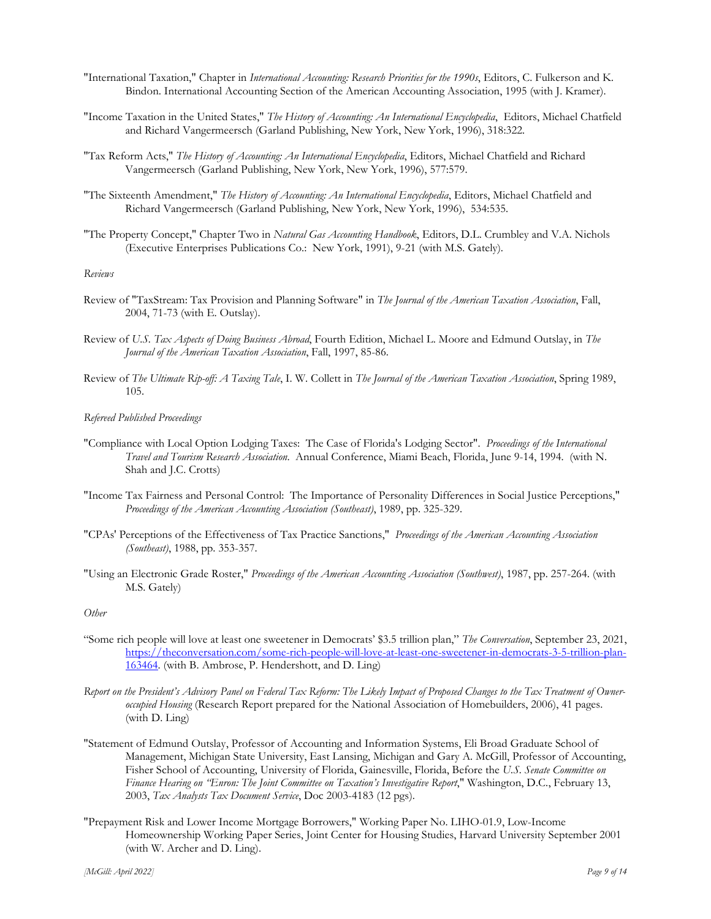- "International Taxation," Chapter in *International Accounting: Research Priorities for the 1990s*, Editors, C. Fulkerson and K. Bindon. International Accounting Section of the American Accounting Association, 1995 (with J. Kramer).
- "Income Taxation in the United States," *The History of Accounting: An International Encyclopedia*, Editors, Michael Chatfield and Richard Vangermeersch (Garland Publishing, New York, New York, 1996), 318:322.
- "Tax Reform Acts," *The History of Accounting: An International Encyclopedia*, Editors, Michael Chatfield and Richard Vangermeersch (Garland Publishing, New York, New York, 1996), 577:579.
- "The Sixteenth Amendment," *The History of Accounting: An International Encyclopedia*, Editors, Michael Chatfield and Richard Vangermeersch (Garland Publishing, New York, New York, 1996), 534:535.
- "The Property Concept," Chapter Two in *Natural Gas Accounting Handbook*, Editors, D.L. Crumbley and V.A. Nichols (Executive Enterprises Publications Co.: New York, 1991), 9-21 (with M.S. Gately).

## *Reviews*

- Review of "TaxStream: Tax Provision and Planning Software" in *The Journal of the American Taxation Association*, Fall, 2004, 71-73 (with E. Outslay).
- Review of *U.S. Tax Aspects of Doing Business Abroad*, Fourth Edition, Michael L. Moore and Edmund Outslay, in *The Journal of the American Taxation Association*, Fall, 1997, 85-86.
- Review of *The Ultimate Rip-off: A Taxing Tale*, I. W. Collett in *The Journal of the American Taxation Association*, Spring 1989, 105.

#### *Refereed Published Proceedings*

- "Compliance with Local Option Lodging Taxes: The Case of Florida's Lodging Sector". *Proceedings of the International Travel and Tourism Research Association*. Annual Conference, Miami Beach, Florida, June 9-14, 1994. (with N. Shah and J.C. Crotts)
- "Income Tax Fairness and Personal Control: The Importance of Personality Differences in Social Justice Perceptions," *Proceedings of the American Accounting Association (Southeast)*, 1989, pp. 325-329.
- "CPAs' Perceptions of the Effectiveness of Tax Practice Sanctions," *Proceedings of the American Accounting Association (Southeast)*, 1988, pp. 353-357.
- "Using an Electronic Grade Roster," *Proceedings of the American Accounting Association (Southwest)*, 1987, pp. 257-264. (with M.S. Gately)

### *Other*

- "Some rich people will love at least one sweetener in Democrats' \$3.5 trillion plan," *The Conversation*, September 23, 2021, [https://theconversation.com/some-rich-people-will-love-at-least-one-sweetener-in-democrats-3-5-trillion-plan-](https://theconversation.com/some-rich-people-will-love-at-least-one-sweetener-in-democrats-3-5-trillion-plan-163464)[163464.](https://theconversation.com/some-rich-people-will-love-at-least-one-sweetener-in-democrats-3-5-trillion-plan-163464) (with B. Ambrose, P. Hendershott, and D. Ling)
- *Report on the President's Advisory Panel on Federal Tax Reform: The Likely Impact of Proposed Changes to the Tax Treatment of Owneroccupied Housing* (Research Report prepared for the National Association of Homebuilders, 2006), 41 pages. (with D. Ling)
- "Statement of Edmund Outslay, Professor of Accounting and Information Systems, Eli Broad Graduate School of Management, Michigan State University, East Lansing, Michigan and Gary A. McGill, Professor of Accounting, Fisher School of Accounting, University of Florida, Gainesville, Florida, Before the *U.S. Senate Committee on Finance Hearing on "Enron: The Joint Committee on Taxation's Investigative Report*," Washington, D.C., February 13, 2003, *Tax Analysts Tax Document Service*, Doc 2003-4183 (12 pgs).
- "Prepayment Risk and Lower Income Mortgage Borrowers," Working Paper No. LIHO-01.9, Low-Income Homeownership Working Paper Series, Joint Center for Housing Studies, Harvard University September 2001 (with W. Archer and D. Ling).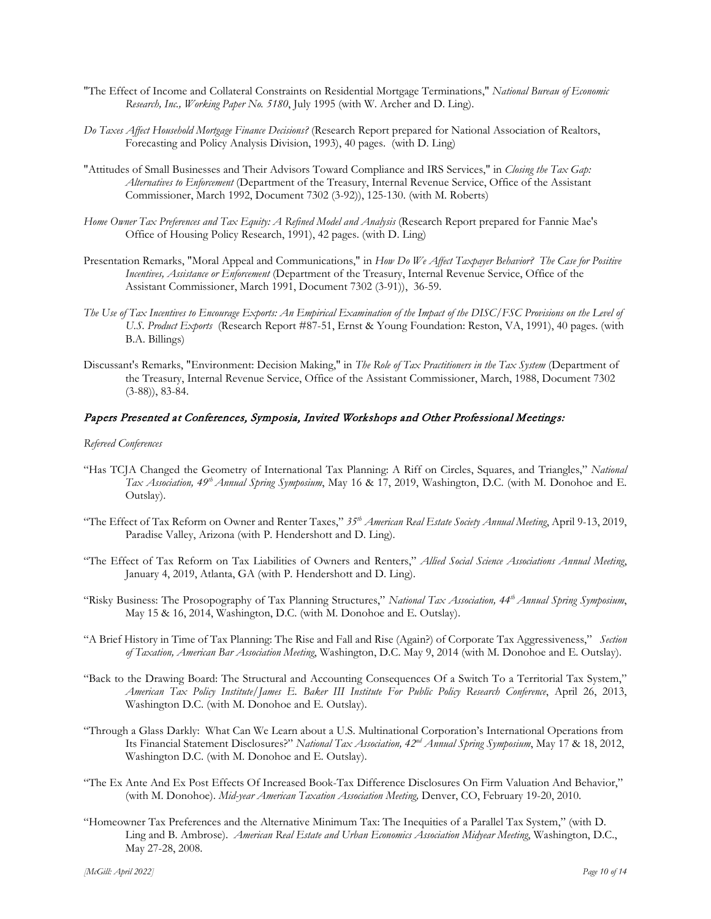- "The Effect of Income and Collateral Constraints on Residential Mortgage Terminations," *National Bureau of Economic Research, Inc., Working Paper No. 5180*, July 1995 (with W. Archer and D. Ling).
- *Do Taxes Affect Household Mortgage Finance Decisions?* (Research Report prepared for National Association of Realtors, Forecasting and Policy Analysis Division, 1993), 40 pages. (with D. Ling)
- "Attitudes of Small Businesses and Their Advisors Toward Compliance and IRS Services," in *Closing the Tax Gap: Alternatives to Enforcement* (Department of the Treasury, Internal Revenue Service, Office of the Assistant Commissioner, March 1992, Document 7302 (3-92)), 125-130. (with M. Roberts)
- *Home Owner Tax Preferences and Tax Equity: A Refined Model and Analysis* (Research Report prepared for Fannie Mae's Office of Housing Policy Research, 1991), 42 pages. (with D. Ling)
- Presentation Remarks, "Moral Appeal and Communications," in *How Do We Affect Taxpayer Behavior? The Case for Positive Incentives, Assistance or Enforcement* (Department of the Treasury, Internal Revenue Service, Office of the Assistant Commissioner, March 1991, Document 7302 (3-91)), 36-59.
- *The Use of Tax Incentives to Encourage Exports: An Empirical Examination of the Impact of the DISC/FSC Provisions on the Level of U.S. Product Exports* (Research Report #87-51, Ernst & Young Foundation: Reston, VA, 1991), 40 pages. (with B.A. Billings)
- Discussant's Remarks, "Environment: Decision Making," in *The Role of Tax Practitioners in the Tax System* (Department of the Treasury, Internal Revenue Service, Office of the Assistant Commissioner, March, 1988, Document 7302 (3-88)), 83-84.

## Papers Presented at Conferences, Symposia, Invited Workshops and Other Professional Meetings:

#### *Refereed Conferences*

- "Has TCJA Changed the Geometry of International Tax Planning: A Riff on Circles, Squares, and Triangles," *National Tax Association, 49th Annual Spring Symposium*, May 16 & 17, 2019, Washington, D.C. (with M. Donohoe and E. Outslay).
- "The Effect of Tax Reform on Owner and Renter Taxes," *35th American Real Estate Society Annual Meeting*, April 9-13, 2019, Paradise Valley, Arizona (with P. Hendershott and D. Ling).
- "The Effect of Tax Reform on Tax Liabilities of Owners and Renters," *Allied Social Science Associations Annual Meeting*, January 4, 2019, Atlanta, GA (with P. Hendershott and D. Ling).
- "Risky Business: The Prosopography of Tax Planning Structures," *National Tax Association, 44th Annual Spring Symposium*, May 15 & 16, 2014, Washington, D.C. (with M. Donohoe and E. Outslay).
- "A Brief History in Time of Tax Planning: The Rise and Fall and Rise (Again?) of Corporate Tax Aggressiveness," *Section of Taxation, American Bar Association Meeting*, Washington, D.C. May 9, 2014 (with M. Donohoe and E. Outslay).
- "Back to the Drawing Board: The Structural and Accounting Consequences Of a Switch To a Territorial Tax System," *American Tax Policy Institute/James E. Baker III Institute For Public Policy Research Conference*, April 26, 2013, Washington D.C. (with M. Donohoe and E. Outslay).
- "Through a Glass Darkly: What Can We Learn about a U.S. Multinational Corporation's International Operations from Its Financial Statement Disclosures?" *National Tax Association, 42nd Annual Spring Symposium*, May 17 & 18, 2012, Washington D.C. (with M. Donohoe and E. Outslay).
- "The Ex Ante And Ex Post Effects Of Increased Book-Tax Difference Disclosures On Firm Valuation And Behavior," (with M. Donohoe). *Mid-year American Taxation Association Meeting,* Denver, CO, February 19-20, 2010.
- "Homeowner Tax Preferences and the Alternative Minimum Tax: The Inequities of a Parallel Tax System," (with D. Ling and B. Ambrose). *American Real Estate and Urban Economics Association Midyear Meeting*, Washington, D.C., May 27-28, 2008.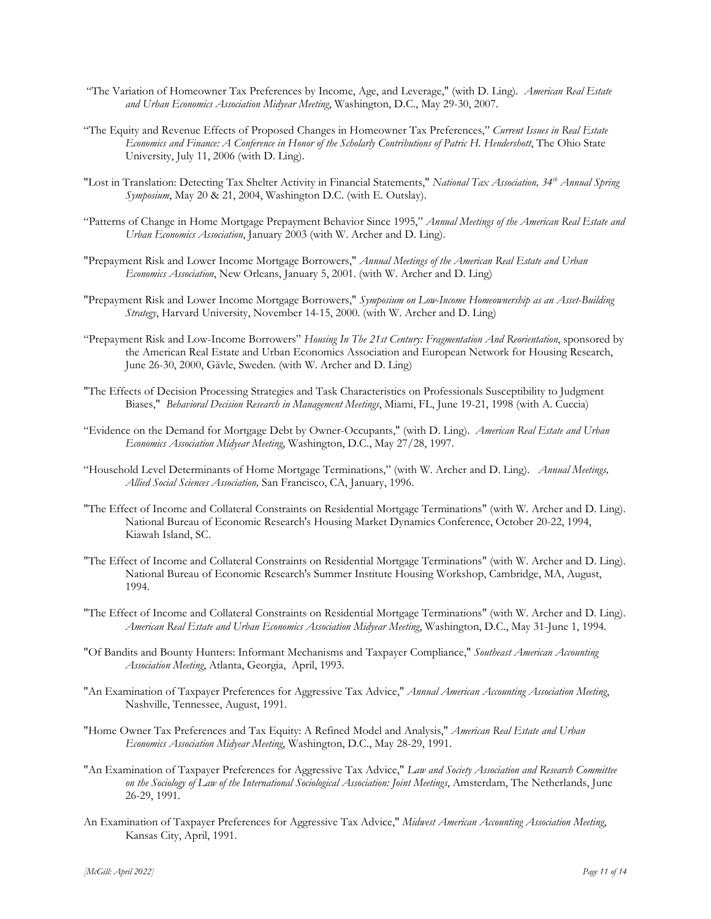- "The Variation of Homeowner Tax Preferences by Income, Age, and Leverage," (with D. Ling). *American Real Estate and Urban Economics Association Midyear Meeting*, Washington, D.C., May 29-30, 2007.
- "The Equity and Revenue Effects of Proposed Changes in Homeowner Tax Preferences," *Current Issues in Real Estate Economics and Finance: A Conference in Honor of the Scholarly Contributions of Patric H. Hendershott*, The Ohio State University, July 11, 2006 (with D. Ling).
- "Lost in Translation: Detecting Tax Shelter Activity in Financial Statements," *National Tax Association, 34th Annual Spring Symposium*, May 20 & 21, 2004, Washington D.C. (with E. Outslay).
- "Patterns of Change in Home Mortgage Prepayment Behavior Since 1995," *Annual Meetings of the American Real Estate and Urban Economics Association*, January 2003 (with W. Archer and D. Ling).
- "Prepayment Risk and Lower Income Mortgage Borrowers," *Annual Meetings of the American Real Estate and Urban Economics Association*, New Orleans, January 5, 2001. (with W. Archer and D. Ling)
- "Prepayment Risk and Lower Income Mortgage Borrowers," *Symposium on Low-Income Homeownership as an Asset-Building Strategy*, Harvard University, November 14-15, 2000. (with W. Archer and D. Ling)
- "Prepayment Risk and Low-Income Borrowers" *Housing In The 21st Century: Fragmentation And Reorientation*, sponsored by the American Real Estate and Urban Economics Association and European Network for Housing Research, June 26-30, 2000, Gävle, Sweden. (with W. Archer and D. Ling)
- "The Effects of Decision Processing Strategies and Task Characteristics on Professionals Susceptibility to Judgment Biases," *Behavioral Decision Research in Management Meetings*, Miami, FL, June 19-21, 1998 (with A. Cuccia)
- "Evidence on the Demand for Mortgage Debt by Owner-Occupants," (with D. Ling). *American Real Estate and Urban Economics Association Midyear Meeting*, Washington, D.C., May 27/28, 1997.
- "Household Level Determinants of Home Mortgage Terminations," (with W. Archer and D. Ling). *Annual Meetings, Allied Social Sciences Association,* San Francisco, CA, January, 1996.
- "The Effect of Income and Collateral Constraints on Residential Mortgage Terminations" (with W. Archer and D. Ling). National Bureau of Economic Research's Housing Market Dynamics Conference, October 20-22, 1994, Kiawah Island, SC.
- "The Effect of Income and Collateral Constraints on Residential Mortgage Terminations" (with W. Archer and D. Ling). National Bureau of Economic Research's Summer Institute Housing Workshop, Cambridge, MA, August, 1994.
- "The Effect of Income and Collateral Constraints on Residential Mortgage Terminations" (with W. Archer and D. Ling). *American Real Estate and Urban Economics Association Midyear Meeting*, Washington, D.C., May 31-June 1, 1994.
- "Of Bandits and Bounty Hunters: Informant Mechanisms and Taxpayer Compliance," *Southeast American Accounting Association Meeting*, Atlanta, Georgia, April, 1993.
- "An Examination of Taxpayer Preferences for Aggressive Tax Advice," *Annual American Accounting Association Meeting*, Nashville, Tennessee, August, 1991.
- "Home Owner Tax Preferences and Tax Equity: A Refined Model and Analysis," *American Real Estate and Urban Economics Association Midyear Meeting*, Washington, D.C., May 28-29, 1991.
- "An Examination of Taxpayer Preferences for Aggressive Tax Advice," *Law and Society Association and Research Committee on the Sociology of Law of the International Sociological Association: Joint Meetings*, Amsterdam, The Netherlands, June 26-29, 1991.
- An Examination of Taxpayer Preferences for Aggressive Tax Advice," *Midwest American Accounting Association Meeting*, Kansas City, April, 1991.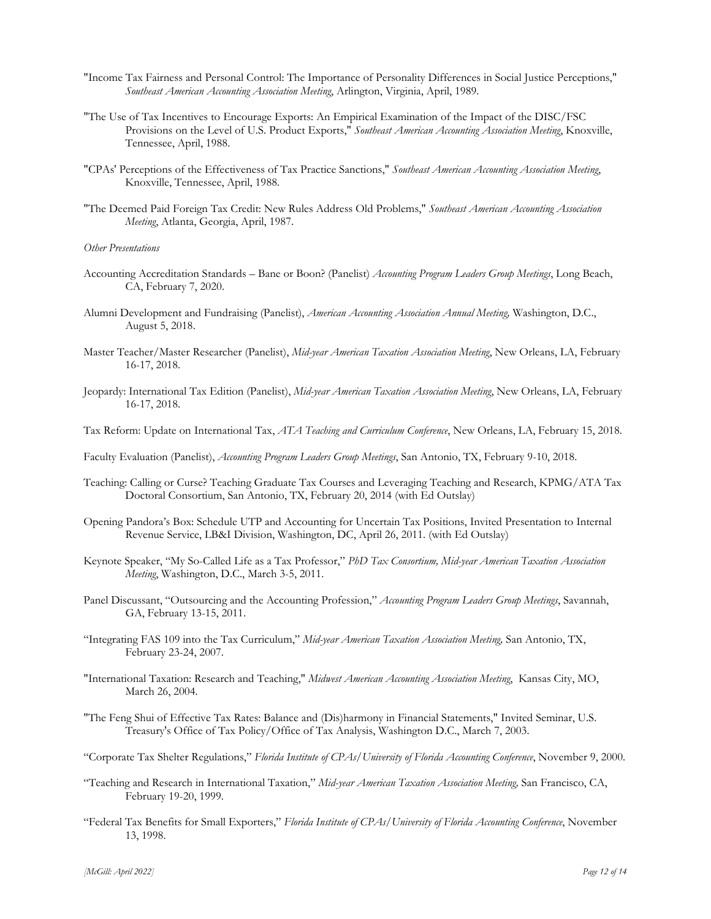- "Income Tax Fairness and Personal Control: The Importance of Personality Differences in Social Justice Perceptions," *Southeast American Accounting Association Meeting*, Arlington, Virginia, April, 1989.
- "The Use of Tax Incentives to Encourage Exports: An Empirical Examination of the Impact of the DISC/FSC Provisions on the Level of U.S. Product Exports," *Southeast American Accounting Association Meeting*, Knoxville, Tennessee, April, 1988.
- "CPAs' Perceptions of the Effectiveness of Tax Practice Sanctions," *Southeast American Accounting Association Meeting*, Knoxville, Tennessee, April, 1988.
- "The Deemed Paid Foreign Tax Credit: New Rules Address Old Problems," *Southeast American Accounting Association Meeting*, Atlanta, Georgia, April, 1987.

*Other Presentations*

- Accounting Accreditation Standards Bane or Boon? (Panelist) *Accounting Program Leaders Group Meetings*, Long Beach, CA, February 7, 2020.
- Alumni Development and Fundraising (Panelist), *American Accounting Association Annual Meeting,* Washington, D.C., August 5, 2018.
- Master Teacher/Master Researcher (Panelist), *Mid-year American Taxation Association Meeting*, New Orleans, LA, February 16-17, 2018.
- Jeopardy: International Tax Edition (Panelist), *Mid-year American Taxation Association Meeting*, New Orleans, LA, February 16-17, 2018.
- Tax Reform: Update on International Tax, *ATA Teaching and Curriculum Conference*, New Orleans, LA, February 15, 2018.
- Faculty Evaluation (Panelist), *Accounting Program Leaders Group Meetings*, San Antonio, TX, February 9-10, 2018.
- Teaching: Calling or Curse? Teaching Graduate Tax Courses and Leveraging Teaching and Research, KPMG/ATA Tax Doctoral Consortium, San Antonio, TX, February 20, 2014 (with Ed Outslay)
- Opening Pandora's Box: Schedule UTP and Accounting for Uncertain Tax Positions, Invited Presentation to Internal Revenue Service, LB&I Division, Washington, DC, April 26, 2011. (with Ed Outslay)
- Keynote Speaker, "My So-Called Life as a Tax Professor," *PhD Tax Consortium, Mid-year American Taxation Association Meeting*, Washington, D.C., March 3-5, 2011.
- Panel Discussant, "Outsourcing and the Accounting Profession," *Accounting Program Leaders Group Meetings*, Savannah, GA, February 13-15, 2011.
- "Integrating FAS 109 into the Tax Curriculum," *Mid-year American Taxation Association Meeting,* San Antonio, TX, February 23-24, 2007.
- "International Taxation: Research and Teaching," *Midwest American Accounting Association Meeting*, Kansas City, MO, March 26, 2004.
- "The Feng Shui of Effective Tax Rates: Balance and (Dis)harmony in Financial Statements," Invited Seminar, U.S. Treasury's Office of Tax Policy/Office of Tax Analysis, Washington D.C., March 7, 2003.
- "Corporate Tax Shelter Regulations," *Florida Institute of CPAs/University of Florida Accounting Conference*, November 9, 2000.
- "Teaching and Research in International Taxation," *Mid-year American Taxation Association Meeting,* San Francisco, CA, February 19-20, 1999.
- "Federal Tax Benefits for Small Exporters," *Florida Institute of CPAs/University of Florida Accounting Conference*, November 13, 1998.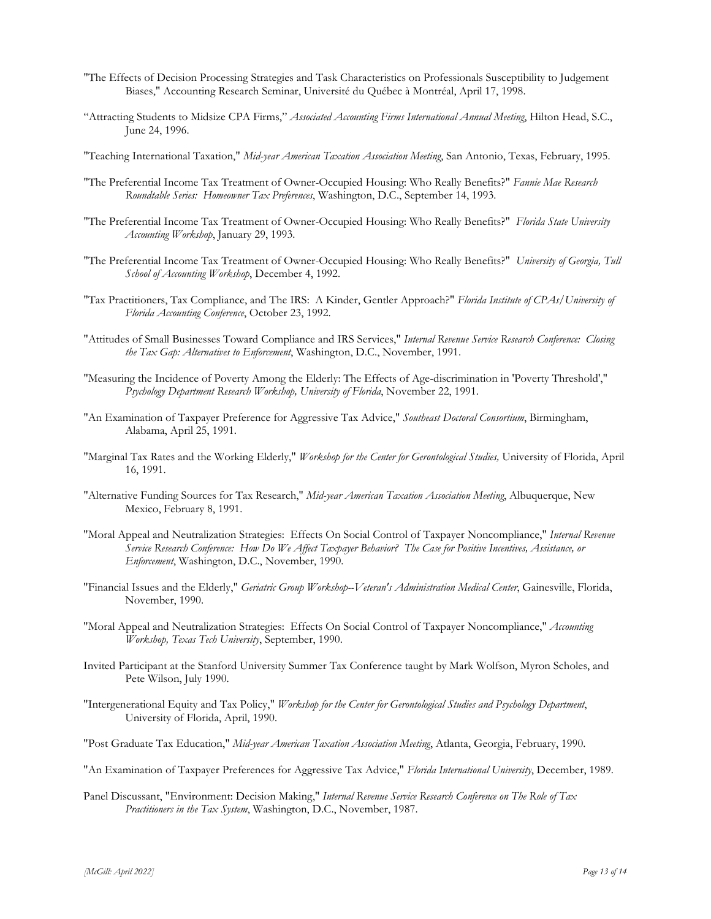- "The Effects of Decision Processing Strategies and Task Characteristics on Professionals Susceptibility to Judgement Biases," Accounting Research Seminar, Université du Québec à Montréal, April 17, 1998.
- "Attracting Students to Midsize CPA Firms," *Associated Accounting Firms International Annual Meeting*, Hilton Head, S.C., June 24, 1996.
- "Teaching International Taxation," *Mid-year American Taxation Association Meeting*, San Antonio, Texas, February, 1995.
- "The Preferential Income Tax Treatment of Owner-Occupied Housing: Who Really Benefits?" *Fannie Mae Research Roundtable Series: Homeowner Tax Preferences*, Washington, D.C., September 14, 1993.
- "The Preferential Income Tax Treatment of Owner-Occupied Housing: Who Really Benefits?" *Florida State University Accounting Workshop*, January 29, 1993.
- "The Preferential Income Tax Treatment of Owner-Occupied Housing: Who Really Benefits?" *University of Georgia, Tull School of Accounting Workshop*, December 4, 1992.
- "Tax Practitioners, Tax Compliance, and The IRS: A Kinder, Gentler Approach?" *Florida Institute of CPAs/University of Florida Accounting Conference*, October 23, 1992.
- "Attitudes of Small Businesses Toward Compliance and IRS Services," *Internal Revenue Service Research Conference: Closing the Tax Gap: Alternatives to Enforcement*, Washington, D.C., November, 1991.
- "Measuring the Incidence of Poverty Among the Elderly: The Effects of Age-discrimination in 'Poverty Threshold'," *Psychology Department Research Workshop, University of Florida*, November 22, 1991.
- "An Examination of Taxpayer Preference for Aggressive Tax Advice," *Southeast Doctoral Consortium*, Birmingham, Alabama, April 25, 1991.
- "Marginal Tax Rates and the Working Elderly," *Workshop for the Center for Gerontological Studies,* University of Florida, April 16, 1991.
- "Alternative Funding Sources for Tax Research," *Mid-year American Taxation Association Meeting*, Albuquerque, New Mexico, February 8, 1991.
- "Moral Appeal and Neutralization Strategies: Effects On Social Control of Taxpayer Noncompliance," *Internal Revenue Service Research Conference: How Do We Affect Taxpayer Behavior? The Case for Positive Incentives, Assistance, or Enforcement*, Washington, D.C., November, 1990.
- "Financial Issues and the Elderly," *Geriatric Group Workshop--Veteran's Administration Medical Center*, Gainesville, Florida, November, 1990.
- "Moral Appeal and Neutralization Strategies: Effects On Social Control of Taxpayer Noncompliance," *Accounting Workshop, Texas Tech University*, September, 1990.
- Invited Participant at the Stanford University Summer Tax Conference taught by Mark Wolfson, Myron Scholes, and Pete Wilson, July 1990.
- "Intergenerational Equity and Tax Policy," *Workshop for the Center for Gerontological Studies and Psychology Department*, University of Florida, April, 1990.
- "Post Graduate Tax Education," *Mid-year American Taxation Association Meeting*, Atlanta, Georgia, February, 1990.
- "An Examination of Taxpayer Preferences for Aggressive Tax Advice," *Florida International University*, December, 1989.
- Panel Discussant, "Environment: Decision Making," *Internal Revenue Service Research Conference on The Role of Tax Practitioners in the Tax System*, Washington, D.C., November, 1987.